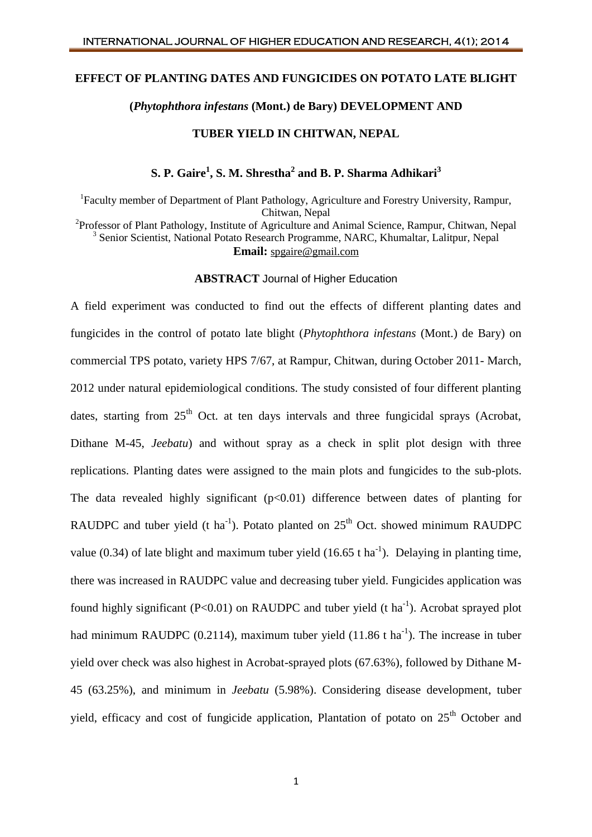#### **EFFECT OF PLANTING DATES AND FUNGICIDES ON POTATO LATE BLIGHT**

# **(***Phytophthora infestans* **(Mont.) de Bary) DEVELOPMENT AND**

### **TUBER YIELD IN CHITWAN, NEPAL**

# **S. P. Gaire<sup>1</sup> , S. M. Shrestha<sup>2</sup> and B. P. Sharma Adhikari<sup>3</sup>**

<sup>1</sup>Faculty member of Department of Plant Pathology, Agriculture and Forestry University, Rampur, Chitwan, Nepal <sup>2</sup>Professor of Plant Pathology, Institute of Agriculture and Animal Science, Rampur, Chitwan, Nepal <sup>3</sup> Senior Scientist, National Potato Research Programme, NARC, Khumaltar, Lalitpur, Nepal **Email:** [spgaire@gmail.com](mailto:spgaire@gmail.com)

### **ABSTRACT** Journal of Higher Education

A field experiment was conducted to find out the effects of different planting dates and fungicides in the control of potato late blight (*Phytophthora infestans* (Mont.) de Bary) on commercial TPS potato, variety HPS 7/67, at Rampur, Chitwan, during October 2011- March, 2012 under natural epidemiological conditions. The study consisted of four different planting dates, starting from  $25<sup>th</sup>$  Oct. at ten days intervals and three fungicidal sprays (Acrobat, Dithane M-45, *Jeebatu*) and without spray as a check in split plot design with three replications. Planting dates were assigned to the main plots and fungicides to the sub-plots. The data revealed highly significant  $(p<0.01)$  difference between dates of planting for RAUDPC and tuber yield (t ha<sup>-1</sup>). Potato planted on  $25<sup>th</sup>$  Oct. showed minimum RAUDPC value (0.34) of late blight and maximum tuber yield (16.65 t ha<sup>-1</sup>). Delaying in planting time, there was increased in RAUDPC value and decreasing tuber yield. Fungicides application was found highly significant ( $P<0.01$ ) on RAUDPC and tuber yield (t ha<sup>-1</sup>). Acrobat sprayed plot had minimum RAUDPC (0.2114), maximum tuber yield (11.86 t ha<sup>-1</sup>). The increase in tuber yield over check was also highest in Acrobat-sprayed plots (67.63%), followed by Dithane M-45 (63.25%), and minimum in *Jeebatu* (5.98%). Considering disease development, tuber yield, efficacy and cost of fungicide application, Plantation of potato on  $25<sup>th</sup>$  October and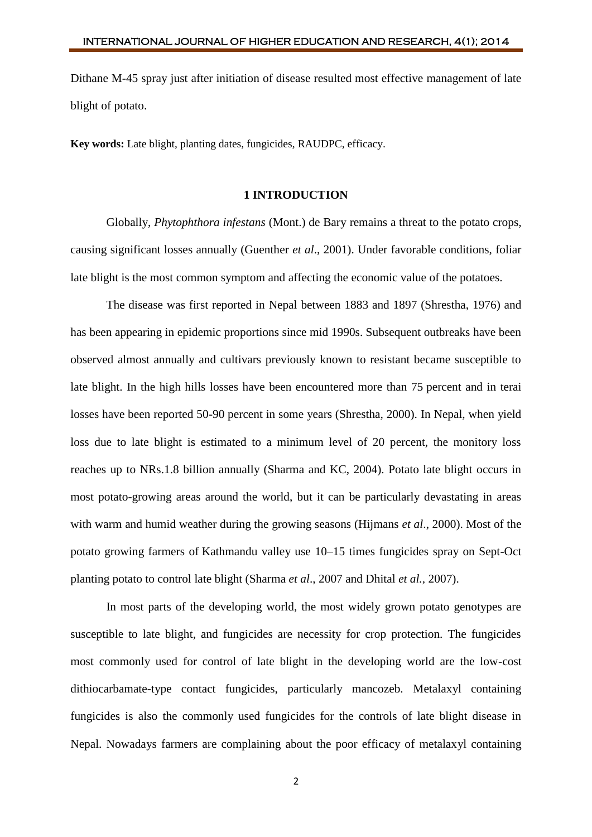Dithane M-45 spray just after initiation of disease resulted most effective management of late blight of potato.

**Key words:** Late blight, planting dates, fungicides*,* RAUDPC, efficacy.

## **1 INTRODUCTION**

Globally, *Phytophthora infestans* (Mont.) de Bary remains a threat to the potato crops, causing significant losses annually (Guenther *et al*., 2001). Under favorable conditions, foliar late blight is the most common symptom and affecting the economic value of the potatoes.

The disease was first reported in Nepal between 1883 and 1897 (Shrestha, 1976) and has been appearing in epidemic proportions since mid 1990s. Subsequent outbreaks have been observed almost annually and cultivars previously known to resistant became susceptible to late blight. In the high hills losses have been encountered more than 75 percent and in terai losses have been reported 50-90 percent in some years (Shrestha, 2000). In Nepal, when yield loss due to late blight is estimated to a minimum level of 20 percent, the monitory loss reaches up to NRs.1.8 billion annually (Sharma and KC, 2004). Potato late blight occurs in most potato-growing areas around the world, but it can be particularly devastating in areas with warm and humid weather during the growing seasons (Hijmans *et al*., 2000). Most of the potato growing farmers of Kathmandu valley use 10–15 times fungicides spray on Sept-Oct planting potato to control late blight (Sharma *et al*., 2007 and Dhital *et al.,* 2007).

In most parts of the developing world, the most widely grown potato genotypes are susceptible to late blight, and fungicides are necessity for crop protection. The fungicides most commonly used for control of late blight in the developing world are the low-cost dithiocarbamate-type contact fungicides, particularly mancozeb. Metalaxyl containing fungicides is also the commonly used fungicides for the controls of late blight disease in Nepal. Nowadays farmers are complaining about the poor efficacy of metalaxyl containing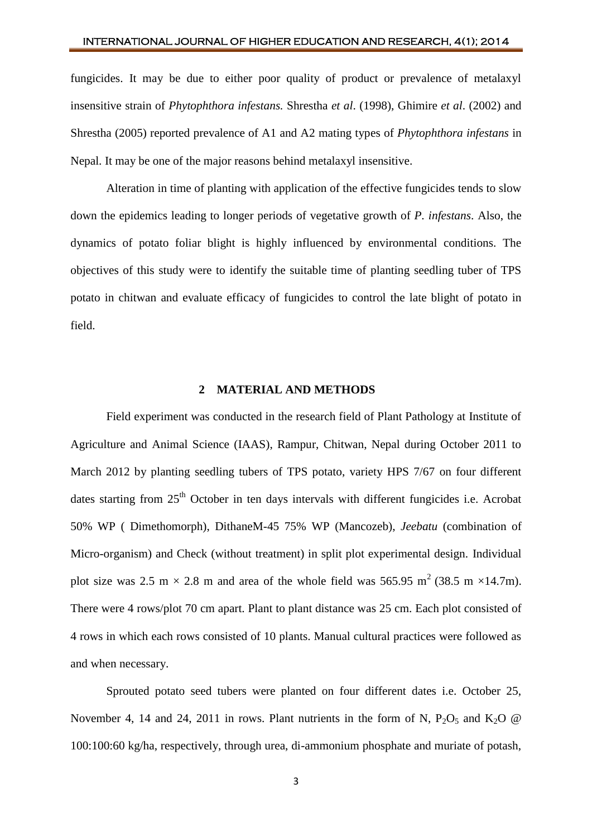### INTERNATIONAL JOURNAL OF HIGHER EDUCATION AND RESEARCH, 4(1); 2014

fungicides. It may be due to either poor quality of product or prevalence of metalaxyl insensitive strain of *Phytophthora infestans.* Shrestha *et al*. (1998), Ghimire *et al*. (2002) and Shrestha (2005) reported prevalence of A1 and A2 mating types of *Phytophthora infestans* in Nepal. It may be one of the major reasons behind metalaxyl insensitive.

Alteration in time of planting with application of the effective fungicides tends to slow down the epidemics leading to longer periods of vegetative growth of *P. infestans*. Also, the dynamics of potato foliar blight is highly influenced by environmental conditions. The objectives of this study were to identify the suitable time of planting seedling tuber of TPS potato in chitwan and evaluate efficacy of fungicides to control the late blight of potato in field.

## **2 MATERIAL AND METHODS**

Field experiment was conducted in the research field of Plant Pathology at Institute of Agriculture and Animal Science (IAAS), Rampur, Chitwan, Nepal during October 2011 to March 2012 by planting seedling tubers of TPS potato, variety HPS 7/67 on four different dates starting from  $25<sup>th</sup>$  October in ten days intervals with different fungicides i.e. Acrobat 50% WP ( Dimethomorph), DithaneM-45 75% WP (Mancozeb), *Jeebatu* (combination of Micro-organism) and Check (without treatment) in split plot experimental design. Individual plot size was 2.5 m  $\times$  2.8 m and area of the whole field was 565.95 m<sup>2</sup> (38.5 m  $\times$ 14.7m). There were 4 rows/plot 70 cm apart. Plant to plant distance was 25 cm. Each plot consisted of 4 rows in which each rows consisted of 10 plants. Manual cultural practices were followed as and when necessary.

Sprouted potato seed tubers were planted on four different dates i.e. October 25, November 4, 14 and 24, 2011 in rows. Plant nutrients in the form of N,  $P_2O_5$  and  $K_2O \tQ$ 100:100:60 kg/ha, respectively, through urea, di-ammonium phosphate and muriate of potash,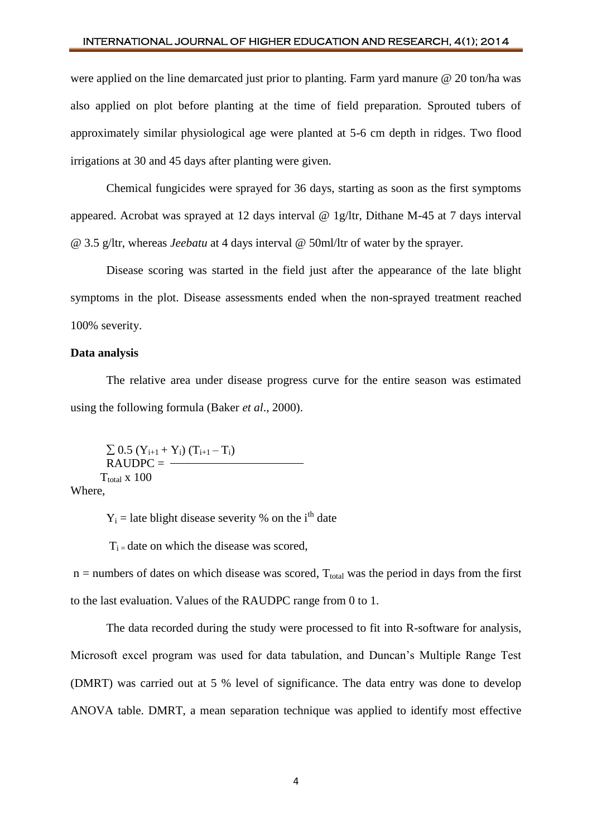# INTERNATIONAL JOURNAL OF HIGHER EDUCATION AND RESEARCH, 4(1); 2014

were applied on the line demarcated just prior to planting. Farm yard manure @ 20 ton/ha was also applied on plot before planting at the time of field preparation. Sprouted tubers of approximately similar physiological age were planted at 5-6 cm depth in ridges. Two flood irrigations at 30 and 45 days after planting were given.

Chemical fungicides were sprayed for 36 days, starting as soon as the first symptoms appeared. Acrobat was sprayed at 12 days interval @ 1g/ltr, Dithane M-45 at 7 days interval @ 3.5 g/ltr, whereas *Jeebatu* at 4 days interval @ 50ml/ltr of water by the sprayer.

Disease scoring was started in the field just after the appearance of the late blight symptoms in the plot. Disease assessments ended when the non-sprayed treatment reached 100% severity.

# **Data analysis**

The relative area under disease progress curve for the entire season was estimated using the following formula (Baker *et al*., 2000).

 $\Sigma$  0.5 (Y<sub>i+1</sub> + Y<sub>i</sub>) (T<sub>i+1</sub> – T<sub>i</sub>)  $RAUDPC =$  —  $T_{total}$  x 100

Where,

 $Y_i$  = late blight disease severity % on the i<sup>th</sup> date

 $T_i$  = date on which the disease was scored,

 $n =$  numbers of dates on which disease was scored,  $T_{total}$  was the period in days from the first to the last evaluation. Values of the RAUDPC range from 0 to 1.

The data recorded during the study were processed to fit into R-software for analysis, Microsoft excel program was used for data tabulation, and Duncan's Multiple Range Test (DMRT) was carried out at 5 % level of significance. The data entry was done to develop ANOVA table. DMRT, a mean separation technique was applied to identify most effective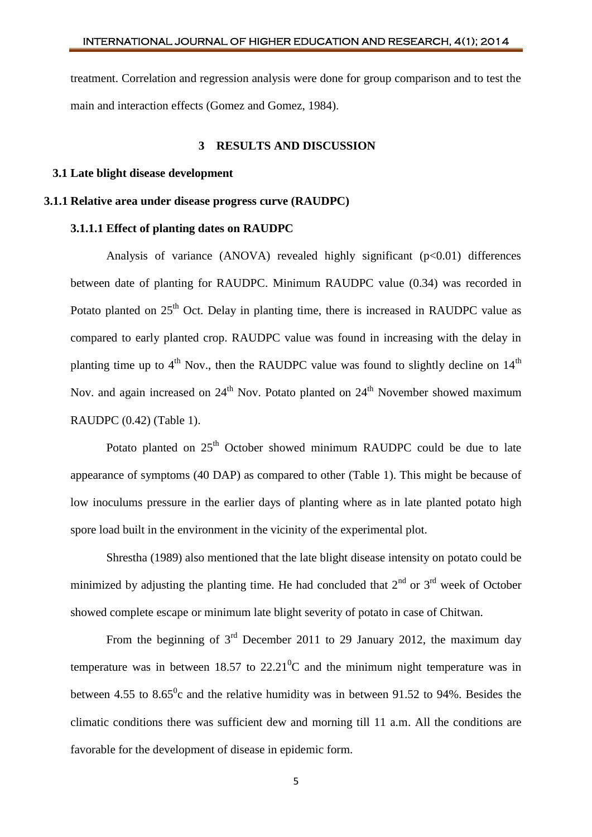treatment. Correlation and regression analysis were done for group comparison and to test the main and interaction effects (Gomez and Gomez, 1984).

### **3 RESULTS AND DISCUSSION**

#### **3.1 Late blight disease development**

## **3.1.1 Relative area under disease progress curve (RAUDPC)**

## **3.1.1.1 Effect of planting dates on RAUDPC**

Analysis of variance (ANOVA) revealed highly significant  $(p<0.01)$  differences between date of planting for RAUDPC. Minimum RAUDPC value (0.34) was recorded in Potato planted on 25<sup>th</sup> Oct. Delay in planting time, there is increased in RAUDPC value as compared to early planted crop. RAUDPC value was found in increasing with the delay in planting time up to  $4<sup>th</sup>$  Nov., then the RAUDPC value was found to slightly decline on  $14<sup>th</sup>$ Nov. and again increased on  $24<sup>th</sup>$  Nov. Potato planted on  $24<sup>th</sup>$  November showed maximum RAUDPC (0.42) (Table 1).

Potato planted on  $25<sup>th</sup>$  October showed minimum RAUDPC could be due to late appearance of symptoms (40 DAP) as compared to other (Table 1). This might be because of low inoculums pressure in the earlier days of planting where as in late planted potato high spore load built in the environment in the vicinity of the experimental plot.

Shrestha (1989) also mentioned that the late blight disease intensity on potato could be minimized by adjusting the planting time. He had concluded that  $2<sup>nd</sup>$  or  $3<sup>rd</sup>$  week of October showed complete escape or minimum late blight severity of potato in case of Chitwan.

From the beginning of  $3<sup>rd</sup>$  December 2011 to 29 January 2012, the maximum day temperature was in between  $18.57$  to  $22.21^{\circ}$ C and the minimum night temperature was in between 4.55 to 8.65 $\degree$ c and the relative humidity was in between 91.52 to 94%. Besides the climatic conditions there was sufficient dew and morning till 11 a.m. All the conditions are favorable for the development of disease in epidemic form.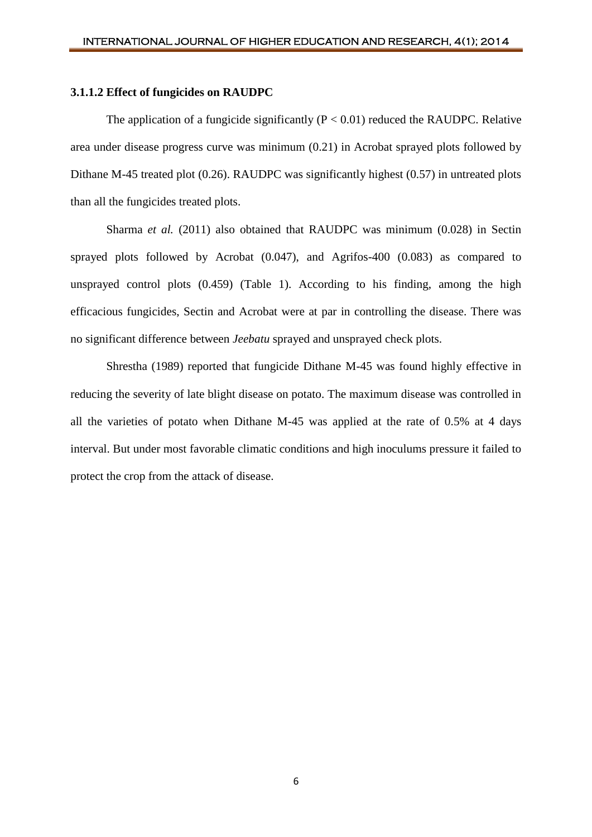#### **3.1.1.2 Effect of fungicides on RAUDPC**

The application of a fungicide significantly  $(P < 0.01)$  reduced the RAUDPC. Relative area under disease progress curve was minimum (0.21) in Acrobat sprayed plots followed by Dithane M-45 treated plot (0.26). RAUDPC was significantly highest (0.57) in untreated plots than all the fungicides treated plots.

Sharma *et al.* (2011) also obtained that RAUDPC was minimum (0.028) in Sectin sprayed plots followed by Acrobat (0.047), and Agrifos-400 (0.083) as compared to unsprayed control plots (0.459) (Table 1). According to his finding, among the high efficacious fungicides, Sectin and Acrobat were at par in controlling the disease. There was no significant difference between *Jeebatu* sprayed and unsprayed check plots.

Shrestha (1989) reported that fungicide Dithane M-45 was found highly effective in reducing the severity of late blight disease on potato. The maximum disease was controlled in all the varieties of potato when Dithane M-45 was applied at the rate of 0.5% at 4 days interval. But under most favorable climatic conditions and high inoculums pressure it failed to protect the crop from the attack of disease.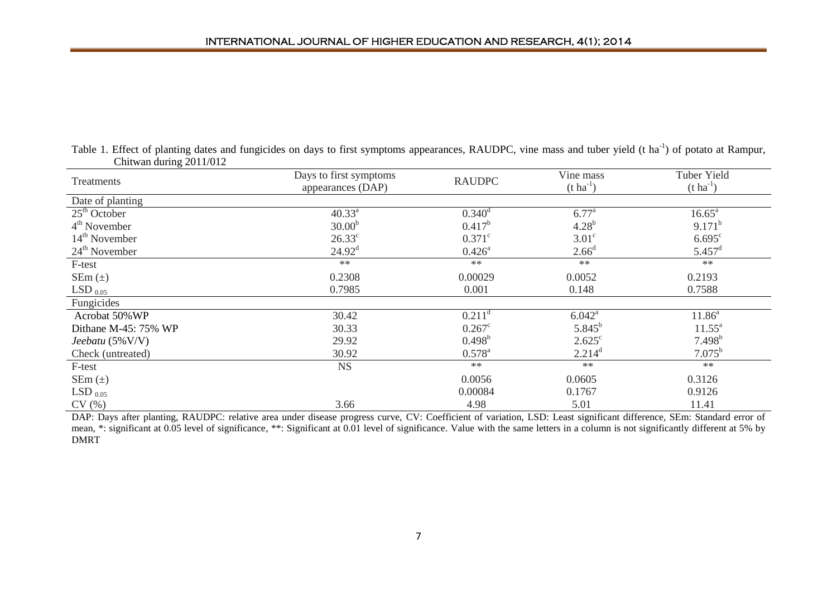| Table 1. Effect of planting dates and fungicides on days to first symptoms appearances, RAUDPC, vine mass and tuber yield (t ha <sup>-1</sup> ) of potato at Rampur, |  |  |
|----------------------------------------------------------------------------------------------------------------------------------------------------------------------|--|--|
| Chitwan during $2011/012$                                                                                                                                            |  |  |

| Treatments           | Days to first symptoms<br><b>RAUDPC</b><br>appearances (DAP) |                      | Vine mass<br>$(t \, ha^{-1})$ | <b>Tuber Yield</b><br>$(t \text{ ha}^{-1})$ |
|----------------------|--------------------------------------------------------------|----------------------|-------------------------------|---------------------------------------------|
| Date of planting     |                                                              |                      |                               |                                             |
| $25th$ October       | $40.33^{a}$                                                  | $0.340^d$            | $6.77^{\circ}$                | $16.65^{\circ}$                             |
| $4th$ November       | $30.00^{b}$                                                  | $0.417^b$            | $4.28^{b}$                    | $9.171^{b}$                                 |
| $14th$ November      | $26.33^{\circ}$                                              | $0.371^{\circ}$      | $3.01^\circ$                  | $6.695^{\circ}$                             |
| $24th$ November      | $24.92^{\text{d}}$                                           | $0.426^{\circ}$      | 2.66 <sup>d</sup>             | $5.457^{\rm d}$                             |
| F-test               | $**$                                                         | $**$                 | $**$                          | $**$                                        |
| SEm $(\pm)$          | 0.2308                                                       | 0.00029              | 0.0052                        | 0.2193                                      |
| LSD $_{0.05}$        | 0.7985                                                       | 0.001                | 0.148                         | 0.7588                                      |
| Fungicides           |                                                              |                      |                               |                                             |
| Acrobat 50% WP       | 30.42                                                        | $0.211$ <sup>d</sup> | $6.042^{\text{a}}$            | $11.86^a$                                   |
| Dithane M-45: 75% WP | 30.33                                                        | $0.267^{\circ}$      | $5.845^{b}$                   | $11.55^{\circ}$                             |
| Jeebatu $(5\%$ V/V)  | 29.92                                                        | $0.498^{b}$          | $2.625^{\circ}$               | $7.498^{b}$                                 |
| Check (untreated)    | 30.92                                                        | $0.578^{\text{a}}$   | $2.214^d$                     | $7.075^{\rm b}$                             |
| F-test               | <b>NS</b>                                                    | $**$                 | $**$                          | $**$                                        |
| $SEM(\pm)$           |                                                              | 0.0056               | 0.0605                        | 0.3126                                      |
| $LSD_{0.05}$         |                                                              | 0.00084              | 0.1767                        | 0.9126                                      |
| CV(%)                | 3.66                                                         | 4.98                 | 5.01                          | 11.41                                       |

DAP: Days after planting, RAUDPC: relative area under disease progress curve, CV: Coefficient of variation, LSD: Least significant difference, SEm: Standard error of mean, \*: significant at 0.05 level of significance, \*\*: Significant at 0.01 level of significance. Value with the same letters in a column is not significantly different at 5% by DMRT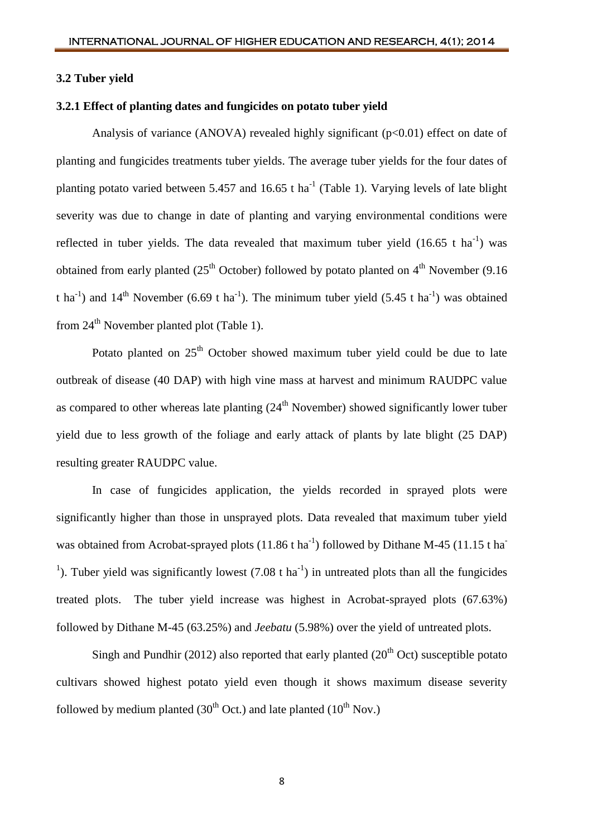#### **3.2 Tuber yield**

## **3.2.1 Effect of planting dates and fungicides on potato tuber yield**

Analysis of variance (ANOVA) revealed highly significant  $(p<0.01)$  effect on date of planting and fungicides treatments tuber yields. The average tuber yields for the four dates of planting potato varied between 5.457 and 16.65 t ha<sup>-1</sup> (Table 1). Varying levels of late blight severity was due to change in date of planting and varying environmental conditions were reflected in tuber yields. The data revealed that maximum tuber yield  $(16.65 \text{ t} \text{ ha}^{-1})$  was obtained from early planted ( $25<sup>th</sup>$  October) followed by potato planted on  $4<sup>th</sup>$  November (9.16) t ha<sup>-1</sup>) and 14<sup>th</sup> November (6.69 t ha<sup>-1</sup>). The minimum tuber yield (5.45 t ha<sup>-1</sup>) was obtained from  $24<sup>th</sup>$  November planted plot (Table 1).

Potato planted on  $25<sup>th</sup>$  October showed maximum tuber yield could be due to late outbreak of disease (40 DAP) with high vine mass at harvest and minimum RAUDPC value as compared to other whereas late planting  $(24<sup>th</sup>$  November) showed significantly lower tuber yield due to less growth of the foliage and early attack of plants by late blight (25 DAP) resulting greater RAUDPC value.

In case of fungicides application, the yields recorded in sprayed plots were significantly higher than those in unsprayed plots. Data revealed that maximum tuber yield was obtained from Acrobat-sprayed plots  $(11.86 \text{ t ha}^{-1})$  followed by Dithane M-45  $(11.15 \text{ t ha}^{-1})$ <sup>1</sup>). Tuber yield was significantly lowest (7.08 t ha<sup>-1</sup>) in untreated plots than all the fungicides treated plots. The tuber yield increase was highest in Acrobat-sprayed plots (67.63%) followed by Dithane M-45 (63.25%) and *Jeebatu* (5.98%) over the yield of untreated plots.

Singh and Pundhir (2012) also reported that early planted ( $20<sup>th</sup>$  Oct) susceptible potato cultivars showed highest potato yield even though it shows maximum disease severity followed by medium planted (30<sup>th</sup> Oct.) and late planted (10<sup>th</sup> Nov.)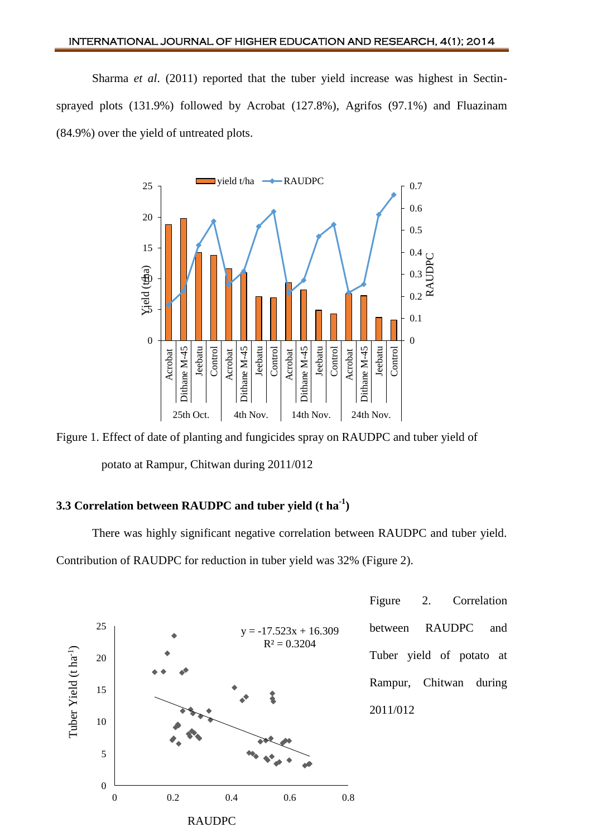Sharma *et al*. (2011) reported that the tuber yield increase was highest in Sectinsprayed plots (131.9%) followed by Acrobat (127.8%), Agrifos (97.1%) and Fluazinam (84.9%) over the yield of untreated plots.



Figure 1. Effect of date of planting and fungicides spray on RAUDPC and tuber yield of potato at Rampur, Chitwan during 2011/012

# **3.3 Correlation between RAUDPC and tuber yield (t ha-1 )**

There was highly significant negative correlation between RAUDPC and tuber yield. Contribution of RAUDPC for reduction in tuber yield was 32% (Figure 2).

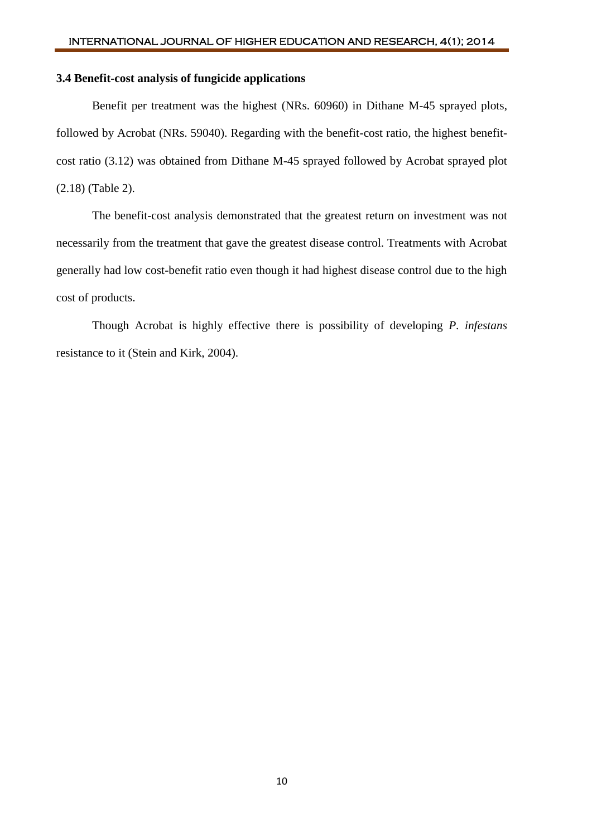# **3.4 Benefit-cost analysis of fungicide applications**

Benefit per treatment was the highest (NRs. 60960) in Dithane M-45 sprayed plots, followed by Acrobat (NRs. 59040). Regarding with the benefit-cost ratio, the highest benefitcost ratio (3.12) was obtained from Dithane M-45 sprayed followed by Acrobat sprayed plot (2.18) (Table 2).

The benefit-cost analysis demonstrated that the greatest return on investment was not necessarily from the treatment that gave the greatest disease control. Treatments with Acrobat generally had low cost-benefit ratio even though it had highest disease control due to the high cost of products.

Though Acrobat is highly effective there is possibility of developing *P. infestans* resistance to it (Stein and Kirk, 2004).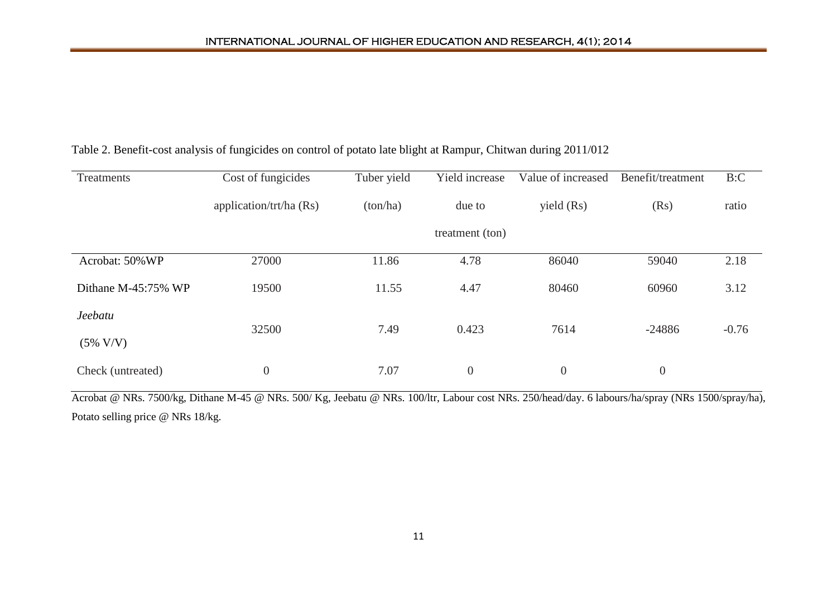| Treatments          | Cost of fungicides      | Tuber yield | Yield increase   | Value of increased | Benefit/treatment | B:C     |
|---------------------|-------------------------|-------------|------------------|--------------------|-------------------|---------|
|                     | application/trt/ha (Rs) | (ton/ha)    | due to           | yield (Rs)         | (Rs)              | ratio   |
|                     |                         |             | treatment (ton)  |                    |                   |         |
| Acrobat: 50% WP     | 27000                   | 11.86       | 4.78             | 86040              | 59040             | 2.18    |
| Dithane M-45:75% WP | 19500                   | 11.55       | 4.47             | 80460              | 60960             | 3.12    |
| Jeebatu             | 32500                   | 7.49        |                  | 7614<br>0.423      | $-24886$          | $-0.76$ |
| $(5\% \text{ V/V})$ |                         |             |                  |                    |                   |         |
| Check (untreated)   | $\boldsymbol{0}$        | 7.07        | $\boldsymbol{0}$ | $\boldsymbol{0}$   | $\boldsymbol{0}$  |         |

# Table 2. Benefit-cost analysis of fungicides on control of potato late blight at Rampur, Chitwan during 2011/012

Acrobat @ NRs. 7500/kg, Dithane M-45 @ NRs. 500/ Kg, Jeebatu @ NRs. 100/ltr, Labour cost NRs. 250/head/day. 6 labours/ha/spray (NRs 1500/spray/ha), Potato selling price @ NRs 18/kg.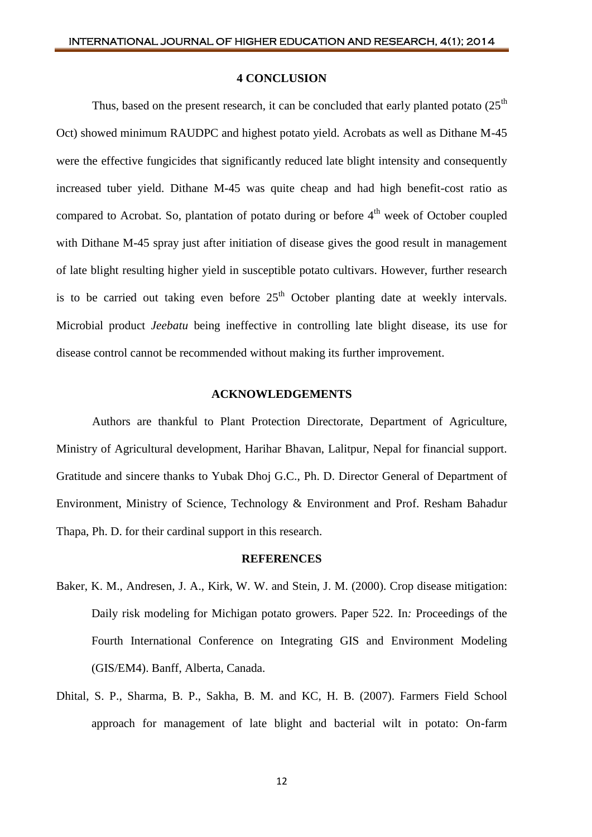#### **4 CONCLUSION**

Thus, based on the present research, it can be concluded that early planted potato  $(25<sup>th</sup>$ Oct) showed minimum RAUDPC and highest potato yield. Acrobats as well as Dithane M-45 were the effective fungicides that significantly reduced late blight intensity and consequently increased tuber yield. Dithane M-45 was quite cheap and had high benefit-cost ratio as compared to Acrobat. So, plantation of potato during or before 4<sup>th</sup> week of October coupled with Dithane M-45 spray just after initiation of disease gives the good result in management of late blight resulting higher yield in susceptible potato cultivars. However, further research is to be carried out taking even before  $25<sup>th</sup>$  October planting date at weekly intervals. Microbial product *Jeebatu* being ineffective in controlling late blight disease, its use for disease control cannot be recommended without making its further improvement.

#### **ACKNOWLEDGEMENTS**

Authors are thankful to Plant Protection Directorate, Department of Agriculture, Ministry of Agricultural development, Harihar Bhavan, Lalitpur, Nepal for financial support. Gratitude and sincere thanks to Yubak Dhoj G.C., Ph. D. Director General of Department of Environment, Ministry of Science, Technology & Environment and Prof. Resham Bahadur Thapa, Ph. D. for their cardinal support in this research.

#### **REFERENCES**

- Baker, K. M., Andresen, J. A., Kirk, W. W. and Stein, J. M. (2000). Crop disease mitigation: Daily risk modeling for Michigan potato growers. Paper 522. In*:* Proceedings of the Fourth International Conference on Integrating GIS and Environment Modeling (GIS/EM4). Banff, Alberta, Canada.
- Dhital, S. P., Sharma, B. P., Sakha, B. M. and KC, H. B. (2007). Farmers Field School approach for management of late blight and bacterial wilt in potato: On-farm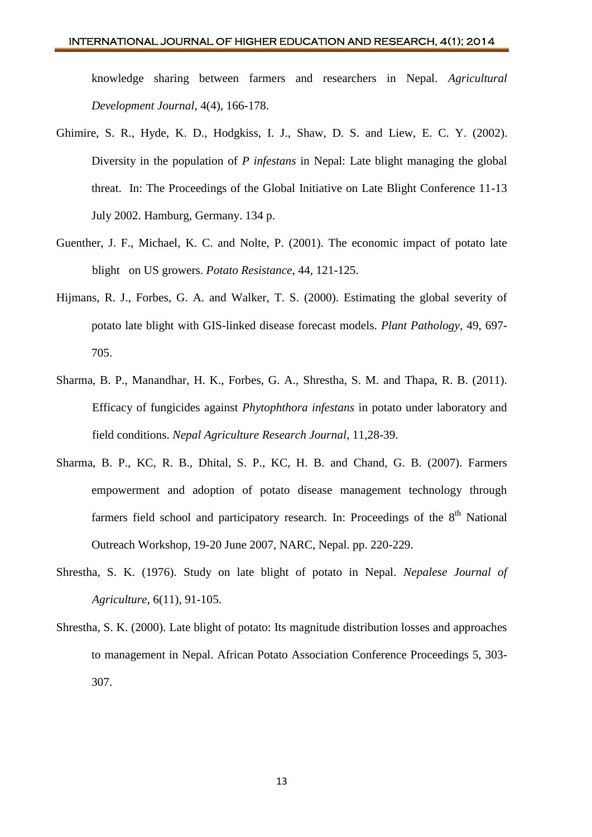knowledge sharing between farmers and researchers in Nepal. *Agricultural Development Journal,* 4(4), 166-178.

- Ghimire, S. R., Hyde, K. D., Hodgkiss, I. J., Shaw, D. S. and Liew, E. C. Y. (2002). Diversity in the population of *P infestans* in Nepal: Late blight managing the global threat. In: The Proceedings of the Global Initiative on Late Blight Conference 11-13 July 2002. Hamburg, Germany. 134 p.
- Guenther, J. F., Michael, K. C. and Nolte, P. (2001). The economic impact of potato late blight on US growers. *Potato Resistance*, 44, 121-125.
- Hijmans, R. J., Forbes, G. A. and Walker, T. S. (2000). Estimating the global severity of potato late blight with GIS-linked disease forecast models. *Plant Pathology,* 49, 697- 705.
- Sharma, B. P., Manandhar, H. K., Forbes, G. A., Shrestha, S. M. and Thapa, R. B. (2011). Efficacy of fungicides against *Phytophthora infestans* in potato under laboratory and field conditions. *Nepal Agriculture Research Journal,* 11,28-39.
- Sharma, B. P., KC, R. B., Dhital, S. P., KC, H. B. and Chand, G. B. (2007). Farmers empowerment and adoption of potato disease management technology through farmers field school and participatory research. In: Proceedings of the  $8<sup>th</sup>$  National Outreach Workshop, 19-20 June 2007, NARC, Nepal. pp. 220-229.
- Shrestha, S. K. (1976). Study on late blight of potato in Nepal. *Nepalese Journal of Agriculture*, 6(11), 91-105.
- Shrestha, S. K. (2000). Late blight of potato: Its magnitude distribution losses and approaches to management in Nepal. African Potato Association Conference Proceedings 5, 303- 307.